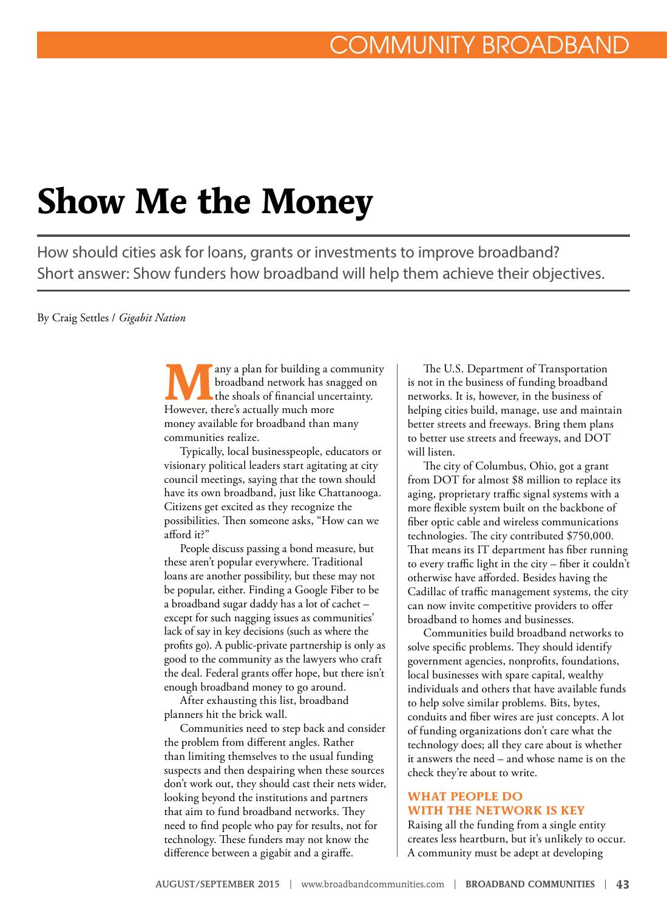# **Show Me the Money**

How should cities ask for loans, grants or investments to improve broadband? Short answer: Show funders how broadband will help them achieve their objectives.

By Craig Settles / *Gigabit Nation*

**Many a plan for building a community**<br>
the shoals of financial uncertainty.<br>
However there's actually much more broadband network has snagged on However, there's actually much more money available for broadband than many communities realize.

Typically, local businesspeople, educators or visionary political leaders start agitating at city council meetings, saying that the town should have its own broadband, just like Chattanooga. Citizens get excited as they recognize the possibilities. Then someone asks, "How can we afford it?"

People discuss passing a bond measure, but these aren't popular everywhere. Traditional loans are another possibility, but these may not be popular, either. Finding a Google Fiber to be a broadband sugar daddy has a lot of cachet – except for such nagging issues as communities' lack of say in key decisions (such as where the profits go). A public-private partnership is only as good to the community as the lawyers who craft the deal. Federal grants offer hope, but there isn't enough broadband money to go around.

After exhausting this list, broadband planners hit the brick wall.

Communities need to step back and consider the problem from different angles. Rather than limiting themselves to the usual funding suspects and then despairing when these sources don't work out, they should cast their nets wider, looking beyond the institutions and partners that aim to fund broadband networks. They need to find people who pay for results, not for technology. These funders may not know the difference between a gigabit and a giraffe.

The U.S. Department of Transportation is not in the business of funding broadband networks. It is, however, in the business of helping cities build, manage, use and maintain better streets and freeways. Bring them plans to better use streets and freeways, and DOT will listen.

The city of Columbus, Ohio, got a grant from DOT for almost \$8 million to replace its aging, proprietary traffic signal systems with a more flexible system built on the backbone of fiber optic cable and wireless communications technologies. The city contributed \$750,000. That means its IT department has fiber running to every traffic light in the city – fiber it couldn't otherwise have afforded. Besides having the Cadillac of traffic management systems, the city can now invite competitive providers to offer broadband to homes and businesses.

Communities build broadband networks to solve specific problems. They should identify government agencies, nonprofits, foundations, local businesses with spare capital, wealthy individuals and others that have available funds to help solve similar problems. Bits, bytes, conduits and fiber wires are just concepts. A lot of funding organizations don't care what the technology does; all they care about is whether it answers the need – and whose name is on the check they're about to write.

#### **WHAT PEOPLE DO WITH THE NETWORK IS KEY**

Raising all the funding from a single entity creates less heartburn, but it's unlikely to occur. A community must be adept at developing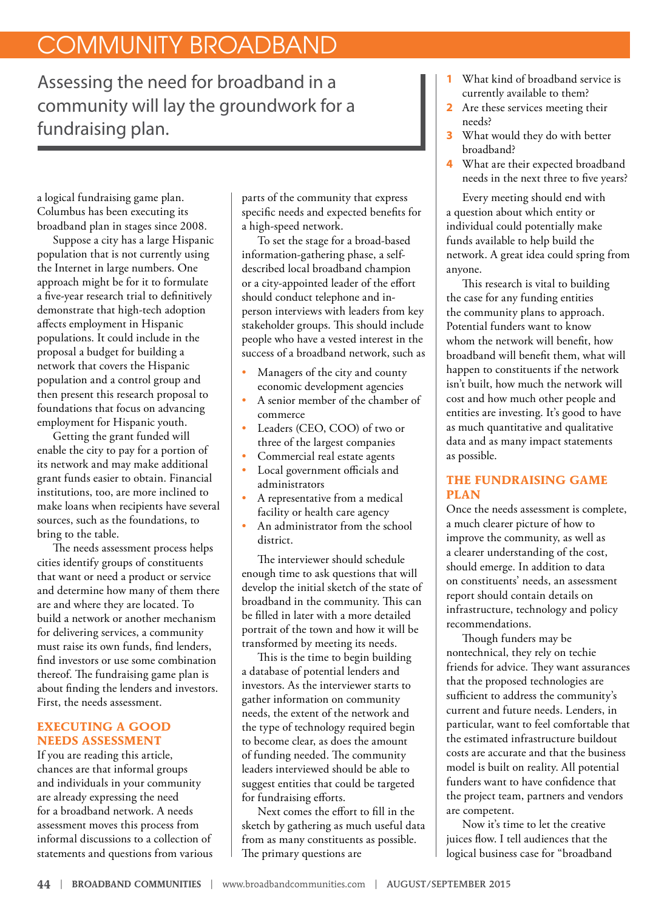## COMMUNITY BROADBAND

Assessing the need for broadband in a community will lay the groundwork for a fundraising plan.

a logical fundraising game plan. Columbus has been executing its broadband plan in stages since 2008.

Suppose a city has a large Hispanic population that is not currently using the Internet in large numbers. One approach might be for it to formulate a five-year research trial to definitively demonstrate that high-tech adoption affects employment in Hispanic populations. It could include in the proposal a budget for building a network that covers the Hispanic population and a control group and then present this research proposal to foundations that focus on advancing employment for Hispanic youth.

Getting the grant funded will enable the city to pay for a portion of its network and may make additional grant funds easier to obtain. Financial institutions, too, are more inclined to make loans when recipients have several sources, such as the foundations, to bring to the table.

The needs assessment process helps cities identify groups of constituents that want or need a product or service and determine how many of them there are and where they are located. To build a network or another mechanism for delivering services, a community must raise its own funds, find lenders, find investors or use some combination thereof. The fundraising game plan is about finding the lenders and investors. First, the needs assessment.

### **EXECUTING A GOOD NEEDS ASSESSMENT**

If you are reading this article, chances are that informal groups and individuals in your community are already expressing the need for a broadband network. A needs assessment moves this process from informal discussions to a collection of statements and questions from various parts of the community that express specific needs and expected benefits for a high-speed network.

To set the stage for a broad-based information-gathering phase, a selfdescribed local broadband champion or a city-appointed leader of the effort should conduct telephone and inperson interviews with leaders from key stakeholder groups. This should include people who have a vested interest in the success of a broadband network, such as

- Managers of the city and county economic development agencies
- A senior member of the chamber of commerce
- Leaders (CEO, COO) of two or three of the largest companies
- Commercial real estate agents
- Local government officials and administrators
- A representative from a medical facility or health care agency
- An administrator from the school district.

The interviewer should schedule enough time to ask questions that will develop the initial sketch of the state of broadband in the community. This can be filled in later with a more detailed portrait of the town and how it will be transformed by meeting its needs.

This is the time to begin building a database of potential lenders and investors. As the interviewer starts to gather information on community needs, the extent of the network and the type of technology required begin to become clear, as does the amount of funding needed. The community leaders interviewed should be able to suggest entities that could be targeted for fundraising efforts.

Next comes the effort to fill in the sketch by gathering as much useful data from as many constituents as possible. The primary questions are

- **1** What kind of broadband service is currently available to them?
- **2** Are these services meeting their needs?
- **3** What would they do with better broadband?
- **4** What are their expected broadband needs in the next three to five years?

Every meeting should end with a question about which entity or individual could potentially make funds available to help build the network. A great idea could spring from anyone.

This research is vital to building the case for any funding entities the community plans to approach. Potential funders want to know whom the network will benefit, how broadband will benefit them, what will happen to constituents if the network isn't built, how much the network will cost and how much other people and entities are investing. It's good to have as much quantitative and qualitative data and as many impact statements as possible.

### **THE FUNDRAISING GAME PLAN**

Once the needs assessment is complete, a much clearer picture of how to improve the community, as well as a clearer understanding of the cost, should emerge. In addition to data on constituents' needs, an assessment report should contain details on infrastructure, technology and policy recommendations.

Though funders may be nontechnical, they rely on techie friends for advice. They want assurances that the proposed technologies are sufficient to address the community's current and future needs. Lenders, in particular, want to feel comfortable that the estimated infrastructure buildout costs are accurate and that the business model is built on reality. All potential funders want to have confidence that the project team, partners and vendors are competent.

Now it's time to let the creative juices flow. I tell audiences that the logical business case for "broadband